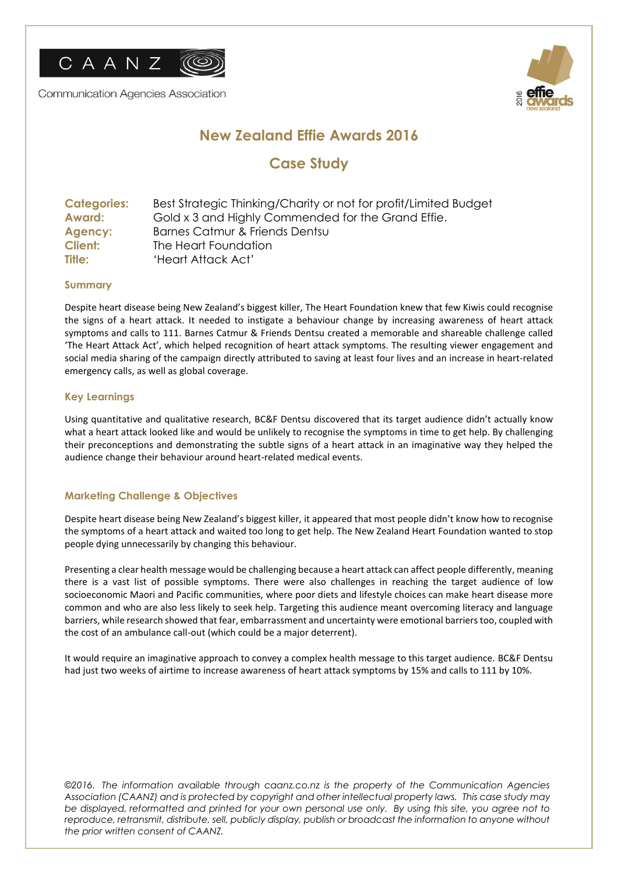

**Communication Agencies Association** 



# **New Zealand Effie Awards 2016**

## **Case Study**

| <b>Categories:</b> | Best Strategic Thinking/Charity or not for profit/Limited Budget |
|--------------------|------------------------------------------------------------------|
| <b>Award:</b>      | Gold x 3 and Highly Commended for the Grand Effie.               |
| Agency:            | Barnes Catmur & Friends Dentsu                                   |
| Client:            | The Heart Foundation                                             |
| Title:             | 'Heart Attack Act'                                               |

### **Summary**

Despite heart disease being New Zealand's biggest killer, The Heart Foundation knew that few Kiwis could recognise the signs of a heart attack. It needed to instigate a behaviour change by increasing awareness of heart attack symptoms and calls to 111. Barnes Catmur & Friends Dentsu created a memorable and shareable challenge called 'The Heart Attack Act', which helped recognition of heart attack symptoms. The resulting viewer engagement and social media sharing of the campaign directly attributed to saving at least four lives and an increase in heart-related emergency calls, as well as global coverage.

## **Key Learnings**

Using quantitative and qualitative research, BC&F Dentsu discovered that its target audience didn't actually know what a heart attack looked like and would be unlikely to recognise the symptoms in time to get help. By challenging their preconceptions and demonstrating the subtle signs of a heart attack in an imaginative way they helped the audience change their behaviour around heart-related medical events.

## **Marketing Challenge & Objectives**

Despite heart disease being New Zealand's biggest killer, it appeared that most people didn't know how to recognise the symptoms of a heart attack and waited too long to get help. The New Zealand Heart Foundation wanted to stop people dying unnecessarily by changing this behaviour.

Presenting a clear health message would be challenging because a heart attack can affect people differently, meaning there is a vast list of possible symptoms. There were also challenges in reaching the target audience of low socioeconomic Maori and Pacific communities, where poor diets and lifestyle choices can make heart disease more common and who are also less likely to seek help. Targeting this audience meant overcoming literacy and language barriers, while research showed that fear, embarrassment and uncertainty were emotional barriers too, coupled with the cost of an ambulance call-out (which could be a major deterrent).

It would require an imaginative approach to convey a complex health message to this target audience. BC&F Dentsu had just two weeks of airtime to increase awareness of heart attack symptoms by 15% and calls to 111 by 10%.

*©2016. The information available through caanz.co.nz is the property of the Communication Agencies Association (CAANZ) and is protected by copyright and other intellectual property laws. This case study may be displayed, reformatted and printed for your own personal use only. By using this site, you agree not to*  reproduce, retransmit, distribute, sell, publicly display, publish or broadcast the information to anyone without *the prior written consent of CAANZ.*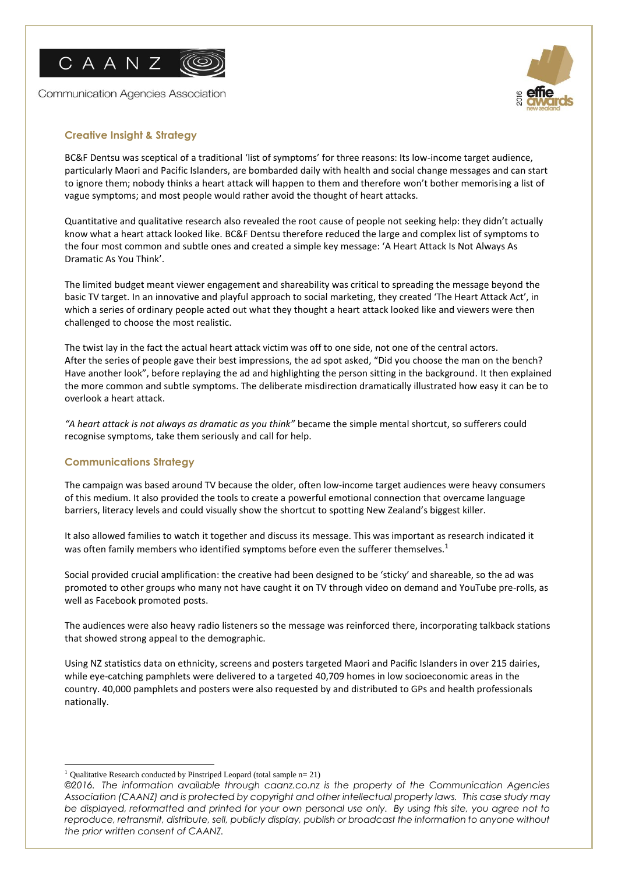

**Communication Agencies Association** 



## **Creative Insight & Strategy**

BC&F Dentsu was sceptical of a traditional 'list of symptoms' for three reasons: Its low-income target audience, particularly Maori and Pacific Islanders, are bombarded daily with health and social change messages and can start to ignore them; nobody thinks a heart attack will happen to them and therefore won't bother memorising a list of vague symptoms; and most people would rather avoid the thought of heart attacks.

Quantitative and qualitative research also revealed the root cause of people not seeking help: they didn't actually know what a heart attack looked like. BC&F Dentsu therefore reduced the large and complex list of symptoms to the four most common and subtle ones and created a simple key message: 'A Heart Attack Is Not Always As Dramatic As You Think'.

The limited budget meant viewer engagement and shareability was critical to spreading the message beyond the basic TV target. In an innovative and playful approach to social marketing, they created 'The Heart Attack Act', in which a series of ordinary people acted out what they thought a heart attack looked like and viewers were then challenged to choose the most realistic.

The twist lay in the fact the actual heart attack victim was off to one side, not one of the central actors. After the series of people gave their best impressions, the ad spot asked, "Did you choose the man on the bench? Have another look", before replaying the ad and highlighting the person sitting in the background. It then explained the more common and subtle symptoms. The deliberate misdirection dramatically illustrated how easy it can be to overlook a heart attack.

*"A heart attack is not always as dramatic as you think"* became the simple mental shortcut, so sufferers could recognise symptoms, take them seriously and call for help.

### **Communications Strategy**

The campaign was based around TV because the older, often low-income target audiences were heavy consumers of this medium. It also provided the tools to create a powerful emotional connection that overcame language barriers, literacy levels and could visually show the shortcut to spotting New Zealand's biggest killer.

It also allowed families to watch it together and discuss its message. This was important as research indicated it was often family members who identified symptoms before even the sufferer themselves.<sup>1</sup>

Social provided crucial amplification: the creative had been designed to be 'sticky' and shareable, so the ad was promoted to other groups who many not have caught it on TV through video on demand and YouTube pre-rolls, as well as Facebook promoted posts.

The audiences were also heavy radio listeners so the message was reinforced there, incorporating talkback stations that showed strong appeal to the demographic.

Using NZ statistics data on ethnicity, screens and posters targeted Maori and Pacific Islanders in over 215 dairies, while eye-catching pamphlets were delivered to a targeted 40,709 homes in low socioeconomic areas in the country. 40,000 pamphlets and posters were also requested by and distributed to GPs and health professionals nationally.

 $\overline{a}$ <sup>1</sup> Qualitative Research conducted by Pinstriped Leopard (total sample  $n=21$ )

*<sup>©2016.</sup> The information available through caanz.co.nz is the property of the Communication Agencies Association (CAANZ) and is protected by copyright and other intellectual property laws. This case study may be displayed, reformatted and printed for your own personal use only. By using this site, you agree not to*  reproduce, retransmit, distribute, sell, publicly display, publish or broadcast the information to anyone without *the prior written consent of CAANZ.*